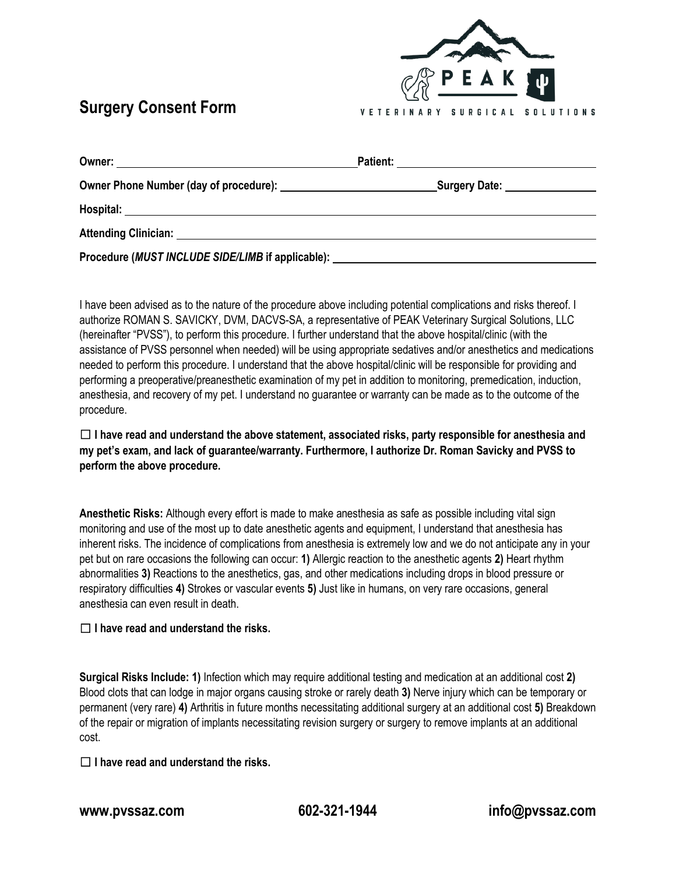## **Surgery Consent Form**



| Owner:                                                                           | <b>Patient:</b>                  |
|----------------------------------------------------------------------------------|----------------------------------|
|                                                                                  | _Surgery Date: _________________ |
| Hospital:                                                                        |                                  |
| Attending Clinician: Attending Clinician:                                        |                                  |
| Procedure (MUST INCLUDE SIDE/LIMB if applicable): ______________________________ |                                  |

I have been advised as to the nature of the procedure above including potential complications and risks thereof. I authorize ROMAN S. SAVICKY, DVM, DACVS-SA, a representative of PEAK Veterinary Surgical Solutions, LLC (hereinafter "PVSS"), to perform this procedure. I further understand that the above hospital/clinic (with the assistance of PVSS personnel when needed) will be using appropriate sedatives and/or anesthetics and medications needed to perform this procedure. I understand that the above hospital/clinic will be responsible for providing and performing a preoperative/preanesthetic examination of my pet in addition to monitoring, premedication, induction, anesthesia, and recovery of my pet. I understand no guarantee or warranty can be made as to the outcome of the procedure.

☐ **I have read and understand the above statement, associated risks, party responsible for anesthesia and my pet's exam, and lack of guarantee/warranty. Furthermore, I authorize Dr. Roman Savicky and PVSS to perform the above procedure.**

**Anesthetic Risks:** Although every effort is made to make anesthesia as safe as possible including vital sign monitoring and use of the most up to date anesthetic agents and equipment, I understand that anesthesia has inherent risks. The incidence of complications from anesthesia is extremely low and we do not anticipate any in your pet but on rare occasions the following can occur: **1)** Allergic reaction to the anesthetic agents **2)** Heart rhythm abnormalities **3)** Reactions to the anesthetics, gas, and other medications including drops in blood pressure or respiratory difficulties **4)** Strokes or vascular events **5)** Just like in humans, on very rare occasions, general anesthesia can even result in death.

## ☐ **I have read and understand the risks.**

**Surgical Risks Include: 1)** Infection which may require additional testing and medication at an additional cost **2)** Blood clots that can lodge in major organs causing stroke or rarely death **3)** Nerve injury which can be temporary or permanent (very rare) **4)** Arthritis in future months necessitating additional surgery at an additional cost **5)** Breakdown of the repair or migration of implants necessitating revision surgery or surgery to remove implants at an additional cost.

## ☐ **I have read and understand the risks.**